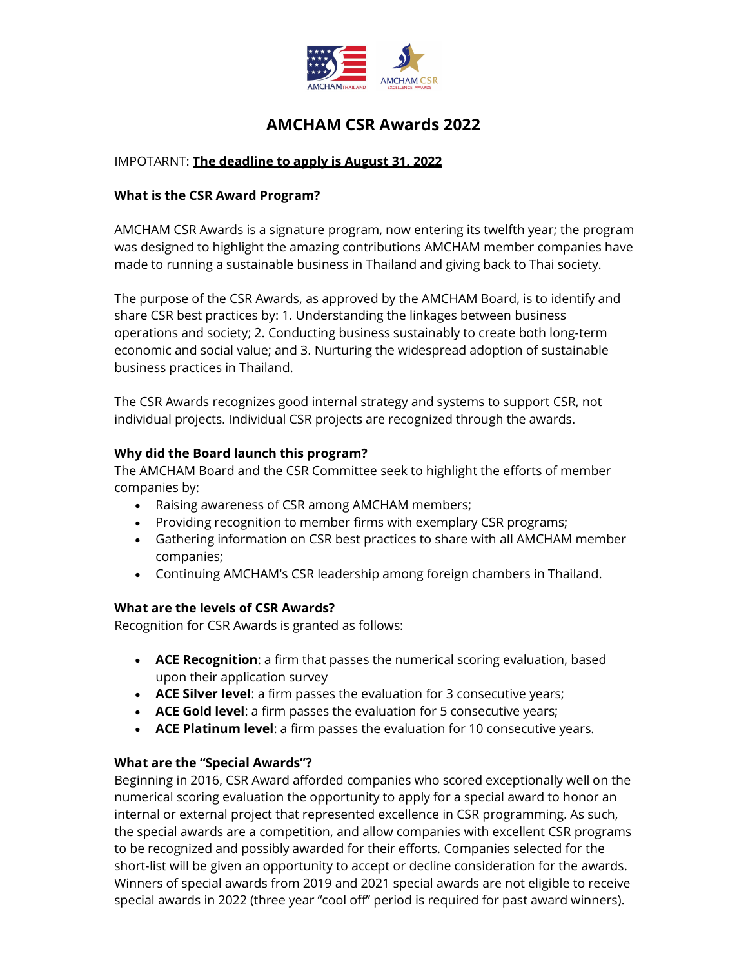

# AMCHAM CSR Awards 2022

# IMPOTARNT: The deadline to apply is August 31, 2022

## What is the CSR Award Program?

AMCHAM CSR Awards is a signature program, now entering its twelfth year; the program was designed to highlight the amazing contributions AMCHAM member companies have made to running a sustainable business in Thailand and giving back to Thai society.

The purpose of the CSR Awards, as approved by the AMCHAM Board, is to identify and share CSR best practices by: 1. Understanding the linkages between business operations and society; 2. Conducting business sustainably to create both long-term economic and social value; and 3. Nurturing the widespread adoption of sustainable business practices in Thailand.

The CSR Awards recognizes good internal strategy and systems to support CSR, not individual projects. Individual CSR projects are recognized through the awards.

## Why did the Board launch this program?

The AMCHAM Board and the CSR Committee seek to highlight the efforts of member companies by:

- Raising awareness of CSR among AMCHAM members;
- Providing recognition to member firms with exemplary CSR programs;
- Gathering information on CSR best practices to share with all AMCHAM member companies;
- Continuing AMCHAM's CSR leadership among foreign chambers in Thailand.

## What are the levels of CSR Awards?

Recognition for CSR Awards is granted as follows:

- ACE Recognition: a firm that passes the numerical scoring evaluation, based upon their application survey
- ACE Silver level: a firm passes the evaluation for 3 consecutive years;
- ACE Gold level: a firm passes the evaluation for 5 consecutive years;
- ACE Platinum level: a firm passes the evaluation for 10 consecutive years.

## What are the "Special Awards"?

Beginning in 2016, CSR Award afforded companies who scored exceptionally well on the numerical scoring evaluation the opportunity to apply for a special award to honor an internal or external project that represented excellence in CSR programming. As such, the special awards are a competition, and allow companies with excellent CSR programs to be recognized and possibly awarded for their efforts. Companies selected for the short-list will be given an opportunity to accept or decline consideration for the awards. Winners of special awards from 2019 and 2021 special awards are not eligible to receive special awards in 2022 (three year "cool off" period is required for past award winners).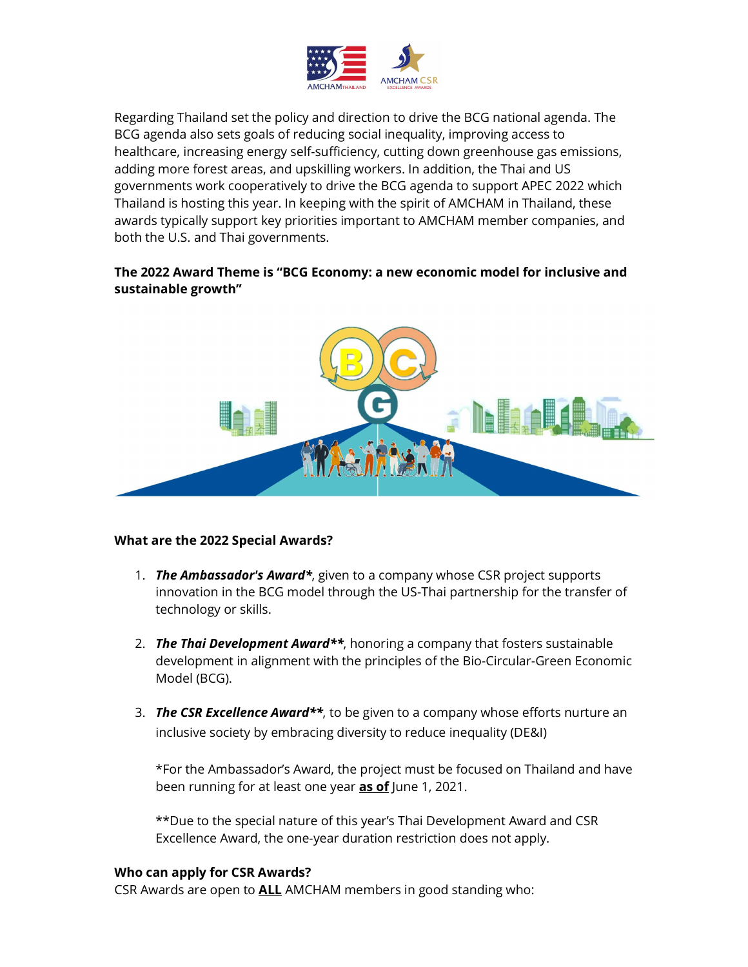

Regarding Thailand set the policy and direction to drive the BCG national agenda. The BCG agenda also sets goals of reducing social inequality, improving access to healthcare, increasing energy self-sufficiency, cutting down greenhouse gas emissions, adding more forest areas, and upskilling workers. In addition, the Thai and US governments work cooperatively to drive the BCG agenda to support APEC 2022 which Thailand is hosting this year. In keeping with the spirit of AMCHAM in Thailand, these awards typically support key priorities important to AMCHAM member companies, and both the U.S. and Thai governments.

# The 2022 Award Theme is "BCG Economy: a new economic model for inclusive and sustainable growth"



## What are the 2022 Special Awards?

- 1. The Ambassador's Award\*, given to a company whose CSR project supports innovation in the BCG model through the US-Thai partnership for the transfer of technology or skills.
- 2. The Thai Development Award<sup>\*\*</sup>, honoring a company that fosters sustainable development in alignment with the principles of the Bio-Circular-Green Economic Model (BCG).
- 3. The CSR Excellence Award<sup>\*\*</sup>, to be given to a company whose efforts nurture an inclusive society by embracing diversity to reduce inequality (DE&I)

\*For the Ambassador's Award, the project must be focused on Thailand and have been running for at least one year as of June 1, 2021.

\*\*Due to the special nature of this year's Thai Development Award and CSR Excellence Award, the one-year duration restriction does not apply.

## Who can apply for CSR Awards?

CSR Awards are open to **ALL** AMCHAM members in good standing who: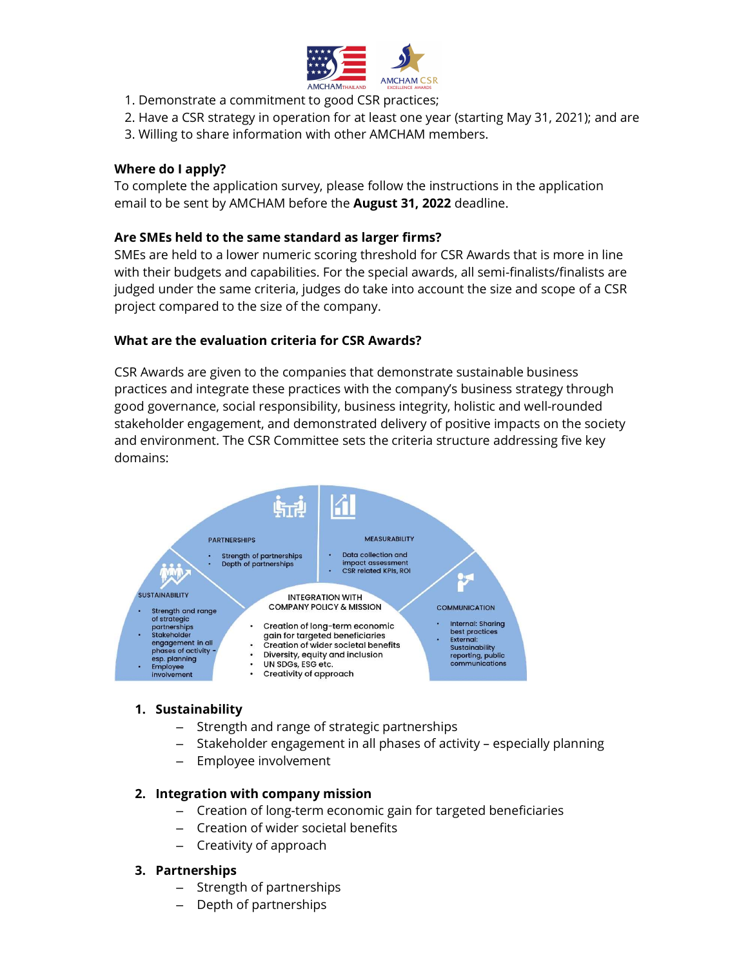

- 1. Demonstrate a commitment to good CSR practices;
- 2. Have a CSR strategy in operation for at least one year (starting May 31, 2021); and are
- 3. Willing to share information with other AMCHAM members.

## Where do I apply?

To complete the application survey, please follow the instructions in the application email to be sent by AMCHAM before the **August 31, 2022** deadline.

## Are SMEs held to the same standard as larger firms?

SMEs are held to a lower numeric scoring threshold for CSR Awards that is more in line with their budgets and capabilities. For the special awards, all semi-finalists/finalists are judged under the same criteria, judges do take into account the size and scope of a CSR project compared to the size of the company.

## What are the evaluation criteria for CSR Awards?

CSR Awards are given to the companies that demonstrate sustainable business practices and integrate these practices with the company's business strategy through good governance, social responsibility, business integrity, holistic and well-rounded stakeholder engagement, and demonstrated delivery of positive impacts on the society and environment. The CSR Committee sets the criteria structure addressing five key domains:



#### 1. Sustainability

- Strength and range of strategic partnerships
- Stakeholder engagement in all phases of activity especially planning
- Employee involvement

## 2. Integration with company mission

- Creation of long-term economic gain for targeted beneficiaries
- Creation of wider societal benefits
- Creativity of approach

## 3. Partnerships

- Strength of partnerships
- Depth of partnerships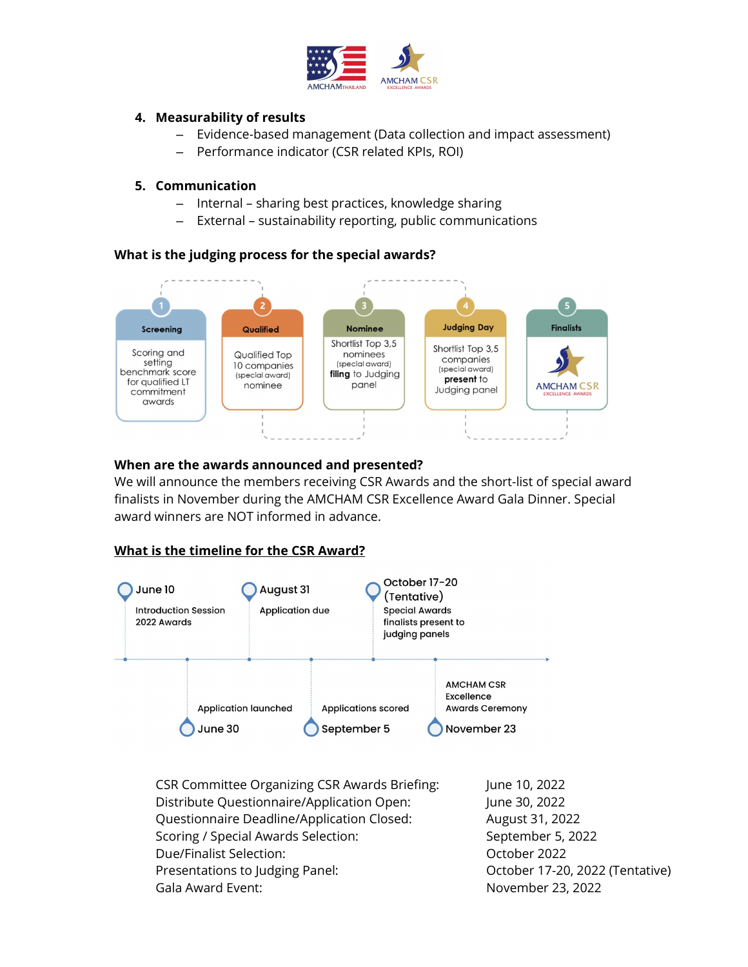

# 4. Measurability of results

- Evidence-based management (Data collection and impact assessment)
- Performance indicator (CSR related KPIs, ROI)

## 5. Communication

- Internal sharing best practices, knowledge sharing
- External sustainability reporting, public communications

## What is the judging process for the special awards?



## When are the awards announced and presented?

We will announce the members receiving CSR Awards and the short-list of special award finalists in November during the AMCHAM CSR Excellence Award Gala Dinner. Special award winners are NOT informed in advance.

# What is the timeline for the CSR Award?



CSR Committee Organizing CSR Awards Briefing: June 10, 2022 Distribute Questionnaire/Application Open: June 30, 2022 Questionnaire Deadline/Application Closed: August 31, 2022 Scoring / Special Awards Selection: September 5, 2022 Due/Finalist Selection: Change of Contraction of Case of Contraction of Contraction of Contraction of Contraction Presentations to Judging Panel: October 17-20, 2022 (Tentative) Gala Award Event: November 23, 2022